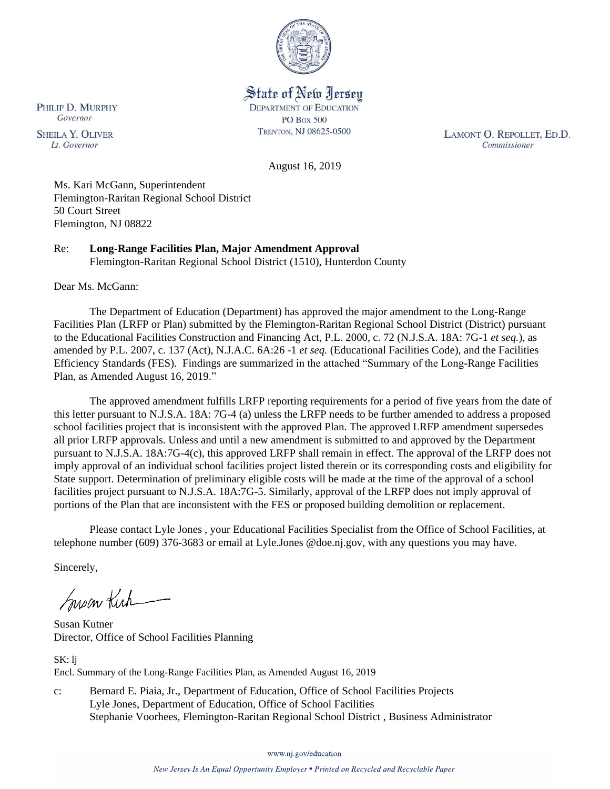

State of New Jersey **DEPARTMENT OF EDUCATION PO Box 500** TRENTON, NJ 08625-0500

LAMONT O. REPOLLET, ED.D. Commissioner

August 16, 2019

Ms. Kari McGann, Superintendent Flemington-Raritan Regional School District 50 Court Street Flemington, NJ 08822

Re: **Long-Range Facilities Plan, Major Amendment Approval** Flemington-Raritan Regional School District (1510), Hunterdon County

Dear Ms. McGann:

The Department of Education (Department) has approved the major amendment to the Long-Range Facilities Plan (LRFP or Plan) submitted by the Flemington-Raritan Regional School District (District) pursuant to the Educational Facilities Construction and Financing Act, P.L. 2000, c. 72 (N.J.S.A. 18A: 7G-1 *et seq.*), as amended by P.L. 2007, c. 137 (Act), N.J.A.C. 6A:26 -1 *et seq.* (Educational Facilities Code), and the Facilities Efficiency Standards (FES). Findings are summarized in the attached "Summary of the Long-Range Facilities Plan, as Amended August 16, 2019."

The approved amendment fulfills LRFP reporting requirements for a period of five years from the date of this letter pursuant to N.J.S.A. 18A: 7G-4 (a) unless the LRFP needs to be further amended to address a proposed school facilities project that is inconsistent with the approved Plan. The approved LRFP amendment supersedes all prior LRFP approvals. Unless and until a new amendment is submitted to and approved by the Department pursuant to N.J.S.A. 18A:7G-4(c), this approved LRFP shall remain in effect. The approval of the LRFP does not imply approval of an individual school facilities project listed therein or its corresponding costs and eligibility for State support. Determination of preliminary eligible costs will be made at the time of the approval of a school facilities project pursuant to N.J.S.A. 18A:7G-5. Similarly, approval of the LRFP does not imply approval of portions of the Plan that are inconsistent with the FES or proposed building demolition or replacement.

Please contact Lyle Jones , your Educational Facilities Specialist from the Office of School Facilities, at telephone number (609) 376-3683 or email at Lyle.Jones @doe.nj.gov, with any questions you may have.

Sincerely,

Susan Kich

Susan Kutner Director, Office of School Facilities Planning

SK: lj Encl. Summary of the Long-Range Facilities Plan, as Amended August 16, 2019

c: Bernard E. Piaia, Jr., Department of Education, Office of School Facilities Projects Lyle Jones, Department of Education, Office of School Facilities Stephanie Voorhees, Flemington-Raritan Regional School District , Business Administrator

www.nj.gov/education

PHILIP D. MURPHY Governor

**SHEILA Y. OLIVER** Lt. Governor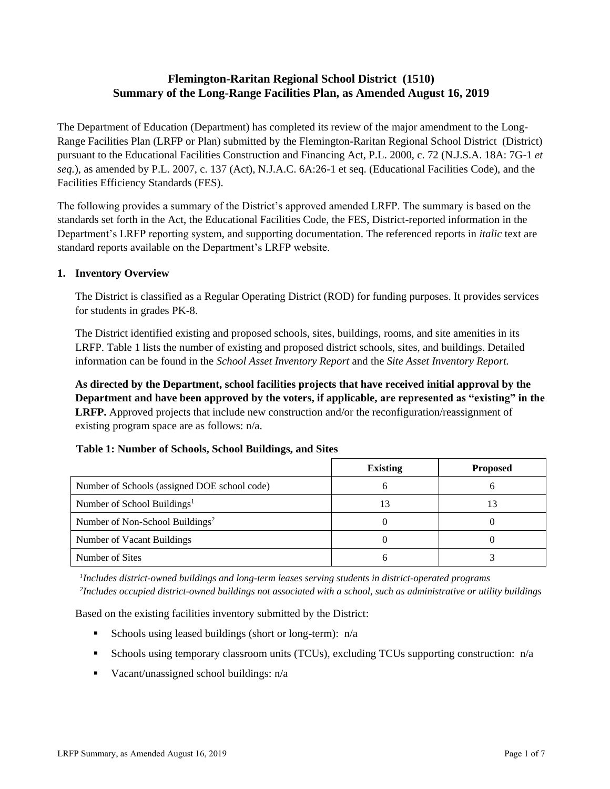# **Flemington-Raritan Regional School District (1510) Summary of the Long-Range Facilities Plan, as Amended August 16, 2019**

The Department of Education (Department) has completed its review of the major amendment to the Long-Range Facilities Plan (LRFP or Plan) submitted by the Flemington-Raritan Regional School District (District) pursuant to the Educational Facilities Construction and Financing Act, P.L. 2000, c. 72 (N.J.S.A. 18A: 7G-1 *et seq.*), as amended by P.L. 2007, c. 137 (Act), N.J.A.C. 6A:26-1 et seq. (Educational Facilities Code), and the Facilities Efficiency Standards (FES).

The following provides a summary of the District's approved amended LRFP. The summary is based on the standards set forth in the Act, the Educational Facilities Code, the FES, District-reported information in the Department's LRFP reporting system, and supporting documentation. The referenced reports in *italic* text are standard reports available on the Department's LRFP website.

### **1. Inventory Overview**

The District is classified as a Regular Operating District (ROD) for funding purposes. It provides services for students in grades PK-8.

The District identified existing and proposed schools, sites, buildings, rooms, and site amenities in its LRFP. Table 1 lists the number of existing and proposed district schools, sites, and buildings. Detailed information can be found in the *School Asset Inventory Report* and the *Site Asset Inventory Report.*

**As directed by the Department, school facilities projects that have received initial approval by the Department and have been approved by the voters, if applicable, are represented as "existing" in the LRFP.** Approved projects that include new construction and/or the reconfiguration/reassignment of existing program space are as follows: n/a.

### **Table 1: Number of Schools, School Buildings, and Sites**

|                                              | <b>Existing</b> | <b>Proposed</b> |
|----------------------------------------------|-----------------|-----------------|
| Number of Schools (assigned DOE school code) |                 |                 |
| Number of School Buildings <sup>1</sup>      | 13              | 13              |
| Number of Non-School Buildings <sup>2</sup>  |                 |                 |
| Number of Vacant Buildings                   |                 |                 |
| Number of Sites                              |                 |                 |

*1 Includes district-owned buildings and long-term leases serving students in district-operated programs 2 Includes occupied district-owned buildings not associated with a school, such as administrative or utility buildings*

Based on the existing facilities inventory submitted by the District:

- **•** Schools using leased buildings (short or long-term):  $n/a$
- Schools using temporary classroom units (TCUs), excluding TCUs supporting construction: n/a
- $\blacksquare$  Vacant/unassigned school buildings:  $n/a$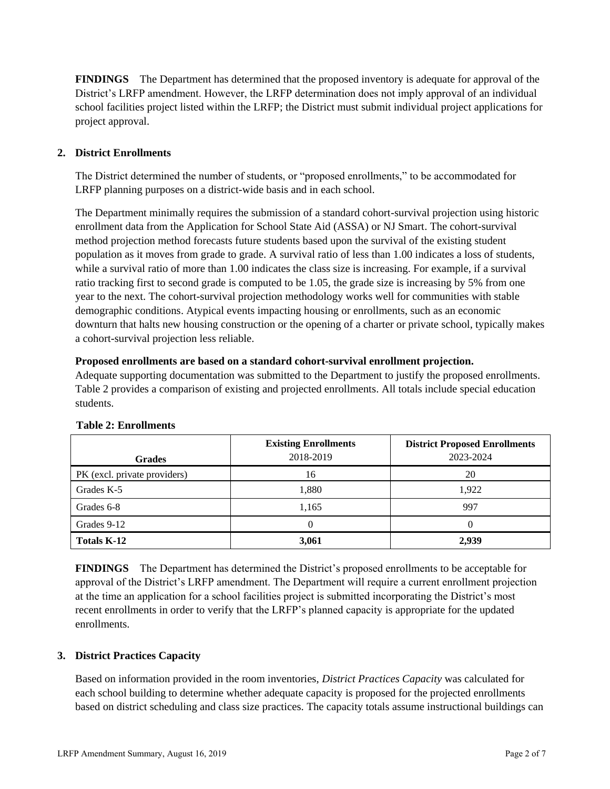**FINDINGS** The Department has determined that the proposed inventory is adequate for approval of the District's LRFP amendment. However, the LRFP determination does not imply approval of an individual school facilities project listed within the LRFP; the District must submit individual project applications for project approval.

## **2. District Enrollments**

The District determined the number of students, or "proposed enrollments," to be accommodated for LRFP planning purposes on a district-wide basis and in each school.

The Department minimally requires the submission of a standard cohort-survival projection using historic enrollment data from the Application for School State Aid (ASSA) or NJ Smart. The cohort-survival method projection method forecasts future students based upon the survival of the existing student population as it moves from grade to grade. A survival ratio of less than 1.00 indicates a loss of students, while a survival ratio of more than 1.00 indicates the class size is increasing. For example, if a survival ratio tracking first to second grade is computed to be 1.05, the grade size is increasing by 5% from one year to the next. The cohort-survival projection methodology works well for communities with stable demographic conditions. Atypical events impacting housing or enrollments, such as an economic downturn that halts new housing construction or the opening of a charter or private school, typically makes a cohort-survival projection less reliable.

### **Proposed enrollments are based on a standard cohort-survival enrollment projection.**

Adequate supporting documentation was submitted to the Department to justify the proposed enrollments. Table 2 provides a comparison of existing and projected enrollments. All totals include special education students.

| <b>Grades</b>                | <b>Existing Enrollments</b><br>2018-2019 | <b>District Proposed Enrollments</b><br>2023-2024 |
|------------------------------|------------------------------------------|---------------------------------------------------|
| PK (excl. private providers) | 16                                       | 20                                                |
| Grades K-5                   | 1,880                                    | 1,922                                             |
| Grades 6-8                   | 1,165                                    | 997                                               |
| Grades 9-12                  |                                          |                                                   |
| <b>Totals K-12</b>           | 3,061                                    | 2,939                                             |

### **Table 2: Enrollments**

**FINDINGS** The Department has determined the District's proposed enrollments to be acceptable for approval of the District's LRFP amendment. The Department will require a current enrollment projection at the time an application for a school facilities project is submitted incorporating the District's most recent enrollments in order to verify that the LRFP's planned capacity is appropriate for the updated enrollments.

## **3. District Practices Capacity**

Based on information provided in the room inventories, *District Practices Capacity* was calculated for each school building to determine whether adequate capacity is proposed for the projected enrollments based on district scheduling and class size practices. The capacity totals assume instructional buildings can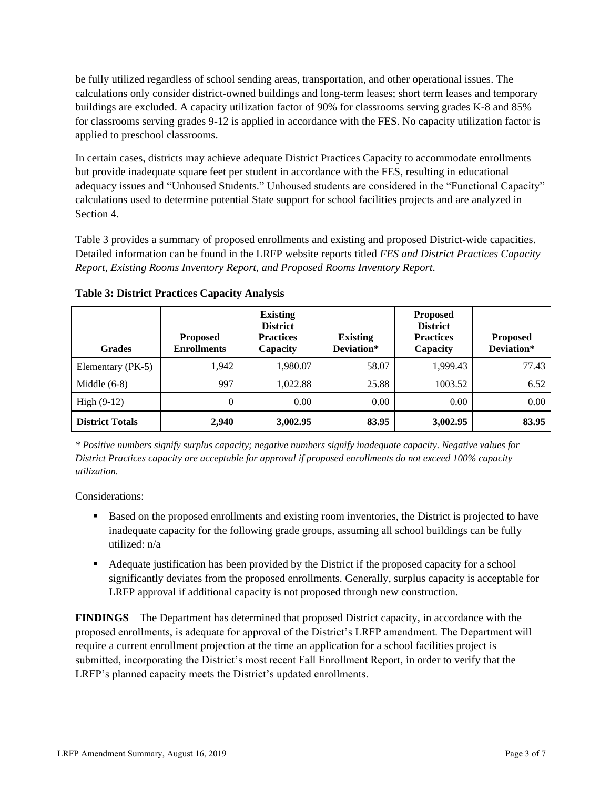be fully utilized regardless of school sending areas, transportation, and other operational issues. The calculations only consider district-owned buildings and long-term leases; short term leases and temporary buildings are excluded. A capacity utilization factor of 90% for classrooms serving grades K-8 and 85% for classrooms serving grades 9-12 is applied in accordance with the FES. No capacity utilization factor is applied to preschool classrooms.

In certain cases, districts may achieve adequate District Practices Capacity to accommodate enrollments but provide inadequate square feet per student in accordance with the FES, resulting in educational adequacy issues and "Unhoused Students." Unhoused students are considered in the "Functional Capacity" calculations used to determine potential State support for school facilities projects and are analyzed in Section 4.

Table 3 provides a summary of proposed enrollments and existing and proposed District-wide capacities. Detailed information can be found in the LRFP website reports titled *FES and District Practices Capacity Report, Existing Rooms Inventory Report, and Proposed Rooms Inventory Report.*

| <b>Grades</b>          | <b>Proposed</b><br><b>Enrollments</b> | <b>Existing</b><br><b>District</b><br><b>Practices</b><br>Capacity | <b>Existing</b><br>Deviation* | <b>Proposed</b><br><b>District</b><br><b>Practices</b><br>Capacity | <b>Proposed</b><br>Deviation* |
|------------------------|---------------------------------------|--------------------------------------------------------------------|-------------------------------|--------------------------------------------------------------------|-------------------------------|
| Elementary (PK-5)      | 1,942                                 | 1,980.07                                                           | 58.07                         | 1.999.43                                                           | 77.43                         |
| Middle $(6-8)$         | 997                                   | 1.022.88                                                           | 25.88                         | 1003.52                                                            | 6.52                          |
| High $(9-12)$          | $\Omega$                              | 0.00                                                               | 0.00                          | 0.00                                                               | 0.00                          |
| <b>District Totals</b> | 2,940                                 | 3,002.95                                                           | 83.95                         | 3,002.95                                                           | 83.95                         |

**Table 3: District Practices Capacity Analysis**

*\* Positive numbers signify surplus capacity; negative numbers signify inadequate capacity. Negative values for District Practices capacity are acceptable for approval if proposed enrollments do not exceed 100% capacity utilization.*

Considerations:

- Based on the proposed enrollments and existing room inventories, the District is projected to have inadequate capacity for the following grade groups, assuming all school buildings can be fully utilized: n/a
- Adequate justification has been provided by the District if the proposed capacity for a school significantly deviates from the proposed enrollments. Generally, surplus capacity is acceptable for LRFP approval if additional capacity is not proposed through new construction.

**FINDINGS**The Department has determined that proposed District capacity, in accordance with the proposed enrollments, is adequate for approval of the District's LRFP amendment. The Department will require a current enrollment projection at the time an application for a school facilities project is submitted, incorporating the District's most recent Fall Enrollment Report, in order to verify that the LRFP's planned capacity meets the District's updated enrollments.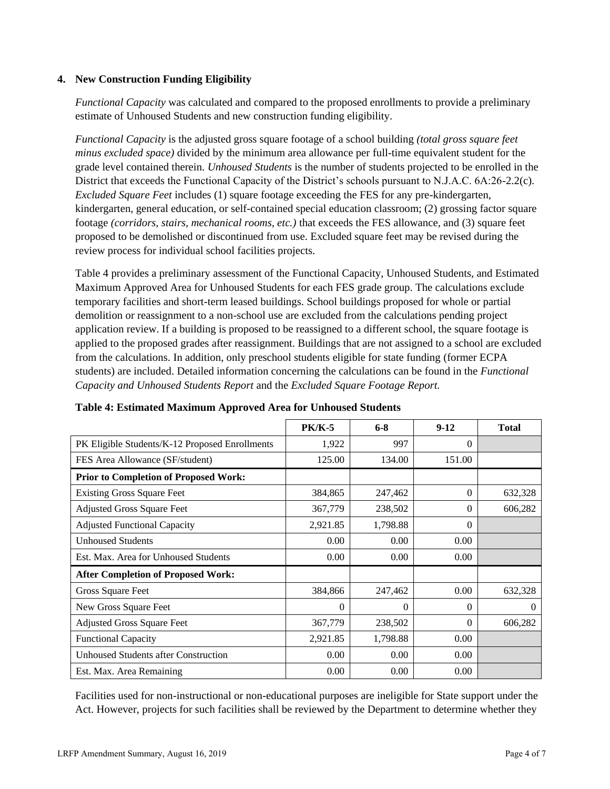### **4. New Construction Funding Eligibility**

*Functional Capacity* was calculated and compared to the proposed enrollments to provide a preliminary estimate of Unhoused Students and new construction funding eligibility.

*Functional Capacity* is the adjusted gross square footage of a school building *(total gross square feet minus excluded space)* divided by the minimum area allowance per full-time equivalent student for the grade level contained therein. *Unhoused Students* is the number of students projected to be enrolled in the District that exceeds the Functional Capacity of the District's schools pursuant to N.J.A.C. 6A:26-2.2(c). *Excluded Square Feet* includes (1) square footage exceeding the FES for any pre-kindergarten, kindergarten, general education, or self-contained special education classroom; (2) grossing factor square footage *(corridors, stairs, mechanical rooms, etc.)* that exceeds the FES allowance, and (3) square feet proposed to be demolished or discontinued from use. Excluded square feet may be revised during the review process for individual school facilities projects.

Table 4 provides a preliminary assessment of the Functional Capacity, Unhoused Students, and Estimated Maximum Approved Area for Unhoused Students for each FES grade group. The calculations exclude temporary facilities and short-term leased buildings. School buildings proposed for whole or partial demolition or reassignment to a non-school use are excluded from the calculations pending project application review. If a building is proposed to be reassigned to a different school, the square footage is applied to the proposed grades after reassignment. Buildings that are not assigned to a school are excluded from the calculations. In addition, only preschool students eligible for state funding (former ECPA students) are included. Detailed information concerning the calculations can be found in the *Functional Capacity and Unhoused Students Report* and the *Excluded Square Footage Report.*

|                                                | <b>PK/K-5</b> | $6 - 8$  | $9-12$   | <b>Total</b> |
|------------------------------------------------|---------------|----------|----------|--------------|
| PK Eligible Students/K-12 Proposed Enrollments | 1,922         | 997      | $\Omega$ |              |
| FES Area Allowance (SF/student)                | 125.00        | 134.00   | 151.00   |              |
| <b>Prior to Completion of Proposed Work:</b>   |               |          |          |              |
| <b>Existing Gross Square Feet</b>              | 384,865       | 247,462  | $\Omega$ | 632,328      |
| <b>Adjusted Gross Square Feet</b>              | 367,779       | 238,502  | $\Omega$ | 606,282      |
| <b>Adjusted Functional Capacity</b>            | 2,921.85      | 1,798.88 | $\Omega$ |              |
| <b>Unhoused Students</b>                       | 0.00          | 0.00     | 0.00     |              |
| Est. Max. Area for Unhoused Students           | 0.00          | 0.00     | 0.00     |              |
| <b>After Completion of Proposed Work:</b>      |               |          |          |              |
| Gross Square Feet                              | 384,866       | 247,462  | 0.00     | 632,328      |
| New Gross Square Feet                          | 0             | $\Omega$ | $\Omega$ | $\Omega$     |
| <b>Adjusted Gross Square Feet</b>              | 367,779       | 238,502  | $\theta$ | 606,282      |
| <b>Functional Capacity</b>                     | 2,921.85      | 1,798.88 | 0.00     |              |
| Unhoused Students after Construction           | 0.00          | 0.00     | 0.00     |              |
| Est. Max. Area Remaining                       | 0.00          | 0.00     | 0.00     |              |

| Table 4: Estimated Maximum Approved Area for Unhoused Students |  |  |
|----------------------------------------------------------------|--|--|
|                                                                |  |  |

Facilities used for non-instructional or non-educational purposes are ineligible for State support under the Act. However, projects for such facilities shall be reviewed by the Department to determine whether they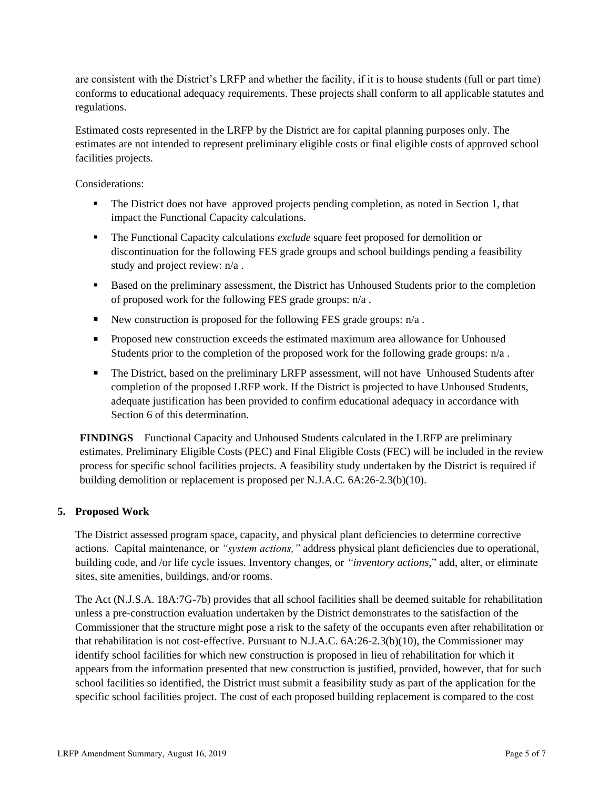are consistent with the District's LRFP and whether the facility, if it is to house students (full or part time) conforms to educational adequacy requirements. These projects shall conform to all applicable statutes and regulations.

Estimated costs represented in the LRFP by the District are for capital planning purposes only. The estimates are not intended to represent preliminary eligible costs or final eligible costs of approved school facilities projects.

Considerations:

- The District does not have approved projects pending completion, as noted in Section 1, that impact the Functional Capacity calculations.
- **•** The Functional Capacity calculations *exclude* square feet proposed for demolition or discontinuation for the following FES grade groups and school buildings pending a feasibility study and project review: n/a .
- Based on the preliminary assessment, the District has Unhoused Students prior to the completion of proposed work for the following FES grade groups: n/a .
- E New construction is proposed for the following FES grade groups:  $n/a$ .
- Proposed new construction exceeds the estimated maximum area allowance for Unhoused Students prior to the completion of the proposed work for the following grade groups: n/a .
- **•** The District, based on the preliminary LRFP assessment, will not have Unhoused Students after completion of the proposed LRFP work. If the District is projected to have Unhoused Students, adequate justification has been provided to confirm educational adequacy in accordance with Section 6 of this determination.

**FINDINGS** Functional Capacity and Unhoused Students calculated in the LRFP are preliminary estimates. Preliminary Eligible Costs (PEC) and Final Eligible Costs (FEC) will be included in the review process for specific school facilities projects. A feasibility study undertaken by the District is required if building demolition or replacement is proposed per N.J.A.C. 6A:26-2.3(b)(10).

### **5. Proposed Work**

The District assessed program space, capacity, and physical plant deficiencies to determine corrective actions. Capital maintenance, or *"system actions,"* address physical plant deficiencies due to operational, building code, and /or life cycle issues. Inventory changes, or *"inventory actions,*" add, alter, or eliminate sites, site amenities, buildings, and/or rooms.

The Act (N.J.S.A. 18A:7G-7b) provides that all school facilities shall be deemed suitable for rehabilitation unless a pre-construction evaluation undertaken by the District demonstrates to the satisfaction of the Commissioner that the structure might pose a risk to the safety of the occupants even after rehabilitation or that rehabilitation is not cost-effective. Pursuant to N.J.A.C. 6A:26-2.3(b)(10), the Commissioner may identify school facilities for which new construction is proposed in lieu of rehabilitation for which it appears from the information presented that new construction is justified, provided, however, that for such school facilities so identified, the District must submit a feasibility study as part of the application for the specific school facilities project. The cost of each proposed building replacement is compared to the cost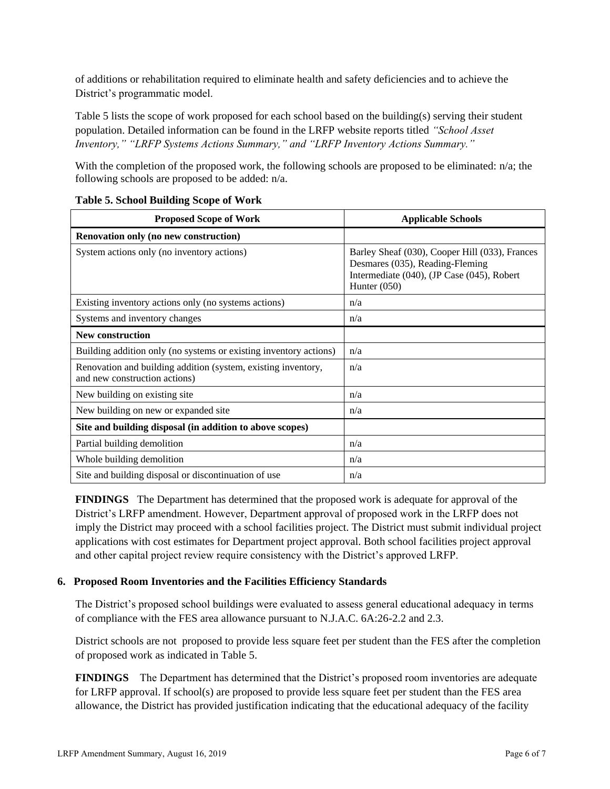of additions or rehabilitation required to eliminate health and safety deficiencies and to achieve the District's programmatic model.

Table 5 lists the scope of work proposed for each school based on the building(s) serving their student population. Detailed information can be found in the LRFP website reports titled *"School Asset Inventory," "LRFP Systems Actions Summary," and "LRFP Inventory Actions Summary."*

With the completion of the proposed work, the following schools are proposed to be eliminated: n/a; the following schools are proposed to be added: n/a.

| <b>Proposed Scope of Work</b>                                                                  | <b>Applicable Schools</b>                                                                                                                         |
|------------------------------------------------------------------------------------------------|---------------------------------------------------------------------------------------------------------------------------------------------------|
| <b>Renovation only (no new construction)</b>                                                   |                                                                                                                                                   |
| System actions only (no inventory actions)                                                     | Barley Sheaf (030), Cooper Hill (033), Frances<br>Desmares (035), Reading-Fleming<br>Intermediate (040), (JP Case (045), Robert<br>Hunter $(050)$ |
| Existing inventory actions only (no systems actions)                                           | n/a                                                                                                                                               |
| Systems and inventory changes                                                                  | n/a                                                                                                                                               |
| <b>New construction</b>                                                                        |                                                                                                                                                   |
| Building addition only (no systems or existing inventory actions)                              | n/a                                                                                                                                               |
| Renovation and building addition (system, existing inventory,<br>and new construction actions) | n/a                                                                                                                                               |
| New building on existing site                                                                  | n/a                                                                                                                                               |
| New building on new or expanded site                                                           | n/a                                                                                                                                               |
| Site and building disposal (in addition to above scopes)                                       |                                                                                                                                                   |
| Partial building demolition                                                                    | n/a                                                                                                                                               |
| Whole building demolition                                                                      | n/a                                                                                                                                               |
| Site and building disposal or discontinuation of use                                           | n/a                                                                                                                                               |

### **Table 5. School Building Scope of Work**

**FINDINGS** The Department has determined that the proposed work is adequate for approval of the District's LRFP amendment. However, Department approval of proposed work in the LRFP does not imply the District may proceed with a school facilities project. The District must submit individual project applications with cost estimates for Department project approval. Both school facilities project approval and other capital project review require consistency with the District's approved LRFP.

## **6. Proposed Room Inventories and the Facilities Efficiency Standards**

The District's proposed school buildings were evaluated to assess general educational adequacy in terms of compliance with the FES area allowance pursuant to N.J.A.C. 6A:26-2.2 and 2.3.

District schools are not proposed to provide less square feet per student than the FES after the completion of proposed work as indicated in Table 5.

**FINDINGS** The Department has determined that the District's proposed room inventories are adequate for LRFP approval. If school(s) are proposed to provide less square feet per student than the FES area allowance, the District has provided justification indicating that the educational adequacy of the facility